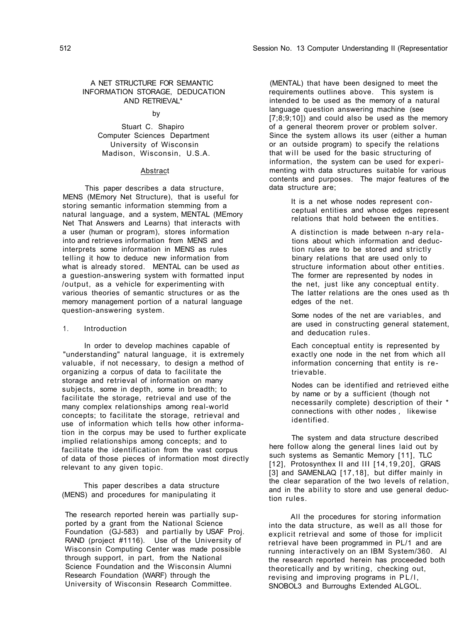## 512 Session No. 13 Computer Understanding II (Representatior

# A NET STRUCTURE FOR SEMANTIC INFORMATION STORAGE, DEDUCATION AND RETRIEVAL\*

# by

Stuart C. Shapiro Computer Sciences Department University of Wisconsin Madison, Wisconsin, U.S.A.

## Abstract

This paper describes a data structure, MENS (MEmory Net Structure), that is useful for storing semantic information stemming from a natural language, and a system, MENTAL (MEmory Net That Answers and Learns) that interacts with a user (human or program), stores information into and retrieves information from MENS and interprets some information in MENS as rules telling it how to deduce new information from what is already stored. MENTAL can be used *as*  a guestion-answering system with formatted input /output, as a vehicle for experimenting with various theories of semantic structures or as the memory management portion of a natural language question-answering system.

# 1. Introduction

In order to develop machines capable of "understanding" natural language, it is extremely valuable, if not necessary, to design a method of organizing a corpus of data to facilitate the storage and retrieval of information on many subjects, some in depth, some in breadth; to facilitate the storage, retrieval and use of the many complex relationships among real-world concepts; to facilitate the storage, retrieval and use of information which tells how other information in the corpus may be used to further explicate implied relationships among concepts; and to facilitate the identification from the vast corpus of data of those pieces of information most directly relevant to any given topic.

This paper describes a data structure (MENS) and procedures for manipulating it

The research reported herein was partially supported by a grant from the National Science Foundation (GJ-583) and partially by USAF Proj. RAND (project #1116). Use of the University of Wisconsin Computing Center was made possible through support, in part, from the National Science Foundation and the Wisconsin Alumni Research Foundation (WARF) through the University of Wisconsin Research Committee.

(MENTAL) that have been designed to meet the requirements outlines above. This system is intended to be used as the memory of a natural language question answering machine (see [7;8;9;10]) and could also be used as the memory of a general theorem prover or problem solver. Since the system allows its user (either a human or an outside program) to specify the relations that will be used for the basic structuring of information, the system can be used for experimenting with data structures suitable for various contents and purposes. The major features of the data structure are;

> It is a net whose nodes represent conceptual entities and whose edges represent relations that hold between the entities.

> A distinction is made between n-ary relations about which information and deduction rules are to be stored and strictly binary relations that are used only to structure information about other entities. The former are represented by nodes in the net, just like any conceptual entity. The latter relations are the ones used as th edges of the net.

Some nodes of the net are variables, and are used in constructing general statement, and deducation rules.

Each conceptual entity is represented by exactly one node in the net from which all information concerning that entity is retrievable.

Nodes can be identified and retrieved eithe by name or by a sufficient (though not necessarily complete) description of their \* connections with other nodes *,* likewise identified.

The system and data structure described here follow along the general lines laid out by such systems as Semantic Memory [11], TLC [12], Protosynthex II and III [14,19,20], GRAIS [3] and SAMENLAQ [17,18], but differ mainly in the clear separation of the two levels of relation, and in the ability to store and use general deduction rules.

All the procedures for storing information into the data structure, as well as all those for explicit retrieval and some of those for implicit retrieval have been programmed in PL/1 and are running interactively on an IBM System/360. Al the research reported herein has proceeded both theoretically and by writing, checking out, revising and improving programs in PL/I, SNOBOL3 and Burroughs Extended ALGOL.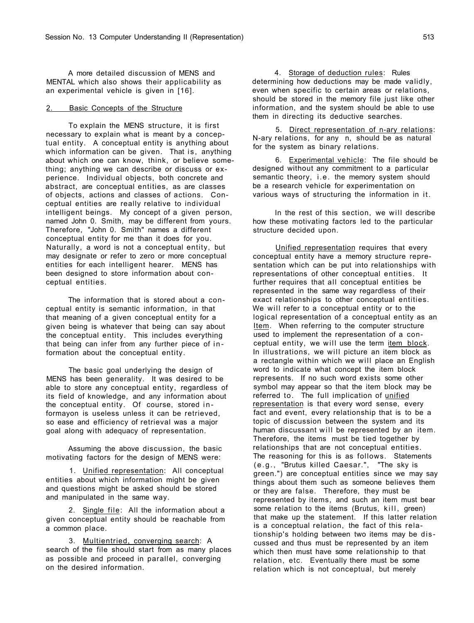A more detailed discussion of MENS and MENTAL which also shows their applicability as an experimental vehicle is given in [16].

## 2. Basic Concepts of the Structure

To explain the MENS structure, it is first necessary to explain what is meant by a conceptual entity. A conceptual entity is anything about which information can be given. That is, anything about which one can know, think, or believe something; anything we can describe or discuss or experience. Individual objects, both concrete and abstract, are conceptual entities, as are classes of objects, actions and classes of actions. Conceptual entities are really relative to individual intelligent beings. My concept of a given person, named John 0. Smith, may be different from yours. Therefore, "John 0. Smith" names a different conceptual entity for me than it does for you. Naturally, a word is not a conceptual entity, but

may designate or refer to zero or more conceptual entities for each intelligent hearer. MENS has been designed to store information about conceptual entities.

1. Unified representation: All conceptual entities about which information might be given and questions might be asked should be stored and manipulated in the same way.

2. Single file: All the information about a given conceptual entity should be reachable from a common place.

The information that is stored about a conceptual entity is semantic information, in that that meaning of a given conceptual entity for a given being is whatever that being can say about the conceptual entity. This includes everything that being can infer from any further piece of in formation about the conceptual entity.

In the rest of this section, we will describe how these motivating factors led to the particular structure decided upon.

Unified representation requires that every

The basic goal underlying the design of MENS has been generality. It was desired to be able to store any conceptual entity, regardless of its field of knowledge, and any information about the conceptual entity. Of course, stored in formayon is useless unless it can be retrieved, so ease and efficiency of retrieval was a major goal along with adequacy of representation.

Assuming the above discussion, the basic motivating factors for the design of MENS were:

3. Multientried, converging search: A search of the file should start from as many places as possible and proceed in parallel, converging on the desired information.

4. Storage of deduction rules: Rules determining how deductions may be made validly, even when specific to certain areas or relations, should be stored in the memory file just like other information, and the system should be able to use them in directing its deductive searches.

5. Direct representation of n-ary relations: N-ary relations, for any n, should be as natural for the system as binary relations.

6. Experimental vehicle: The file should be designed without any commitment to a particular semantic theory, i.e. the memory system should be a research vehicle for experimentation on various ways of structuring the information in it.

conceptual entity have a memory structure representation which can be put into relationships with representations of other conceptual entities. It further requires that all conceptual entities be represented in the same way regardless of their exact relationships to other conceptual entities. We will refer to a conceptual entity or to the logical representation of a conceptual entity as an Item. When referring to the computer structure used to implement the representation of a conceptual entity, we will use the term item block. In illustrations, we will picture an item block as a rectangle within which we will place an English word to indicate what concept the item block represents. If no such word exists some other symbol may appear so that the item block may be referred to. The full implication of unified representation is that every word sense, every fact and event, every relationship that is to be a topic of discussion between the system and its human discussant will be represented by an item. Therefore, the items must be tied together by relationships that are not conceptual entities. The reasoning for this is as follows. Statements (e.g. , "Brutus killed Caesar.", "The sky is green.") are conceptual entities since we may say things about them such as someone believes them or they are false. Therefore, they must be represented by items, and such an item must bear some relation to the items (Brutus, kill, green) that make up the statement. If this latter relation is a conceptual relation, the fact of this relationship's holding between two items may be discussed and thus must be represented by an item which then must have some relationship to that relation, etc. Eventually there must be some relation which is not conceptual, but merely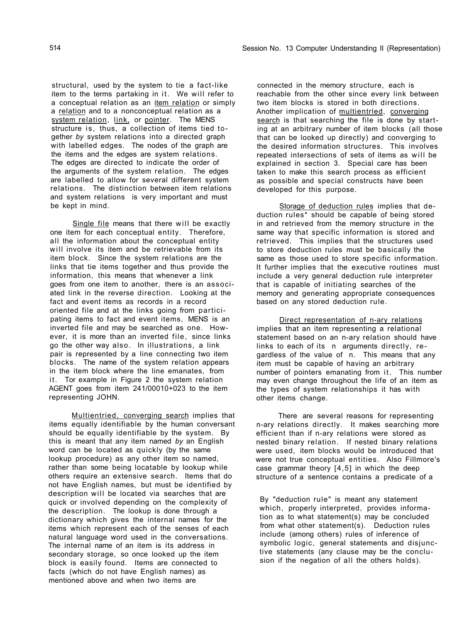514 Session No. 13 Computer Understanding II (Representation)

structural, used by the system to tie a fact-like item to the terms partaking in it. We will refer to a conceptual relation as an *item relation* or simply a relation and to a nonconceptual relation as a system relation, link, or pointer. The MENS structure is, thus, a collection of items tied together *by* system relations into a directed graph with labelled edges. The nodes of the graph are the items and the edges are system relations. The edges are directed to indicate the order of the arguments of the system relation. The edges are labelled to allow for several different system relations. The distinction between item relations and system relations is very important and must be kept in mind.

Single file means that there will be exactly one item for each conceptual entity. Therefore, all the information about the conceptual entity will involve its item and be retrievable from its

Multientried, converging search implies that items equally identifiable by the human conversant should be equally identifiable by the system. By this is meant that any item named *by* an English word can be located as quickly (by the same lookup procedure) as any other item so named, rather than some being locatable by lookup while others require an extensive search. Items that do not have English names, but must be identified by description will be located via searches that are quick or involved depending on the complexity of the description. The lookup is done through a dictionary which gives the internal names for the items which represent each of the senses of each natural language word used in the conversations. The internal name of an item is its address in secondary storage, so once looked up the item block is easily found. Items are connected to facts (which do not have English names) as mentioned above and when two items are

item block. Since the system relations are the links that tie items together and thus provide the information, this means that whenever a link goes from one item to another, there is an associated link in the reverse direction. Looking at the fact and event items as records in a record oriented file and at the links going from participating items to fact and event items, MENS is an inverted file and may be searched as one. However, it is more than an inverted file, since links go the other way also. In illustrations, a link pair is represented by a line connecting two item blocks. The name of the system relation appears in the item block where the line emanates, from it. Tor example in Figure 2 the system relation AGENT goes from item 241/00010+023 to the item representing JOHN.

Storage of deduction rules implies that deduction rules\* should be capable of being stored in and retrieved from the memory structure in the same way that specific information is stored and retrieved. This implies that the structures used to store deduction rules must be basically the same as those used to store specific information. It further implies that the executive routines must include a very general deduction rule interpreter that is capable of initiating searches of the memory and generating appropriate consequences based on any stored deduction rule.

Direct representation of n-ary relations implies that an item representing a relational statement based on an n-ary relation should have links to each of its n arguments directly, regardless of the value of n. This means that any item must be capable of having an arbitrary number of pointers emanating from it. This number may even change throughout the life of an item as the types of system relationships it has with other items change.

connected in the memory structure, each is reachable from the other since every link between two item blocks is stored in both directions. Another implication of multientrled, converging search is that searching the file is done by starting at an arbitrary number of item blocks (all those that can be looked up directly) and converging to the desired information structures. This involves repeated intersections of sets of items as will be explained in section 3. Special care has been taken to make this search process as efficient as possible and special constructs have been developed for this purpose.

There are several reasons for representing n-ary relations directly. It makes searching more efficient than if n-ary relations were stored as nested binary relation. If nested binary relations were used, item blocks would be introduced that were not true conceptual entities. Also Fillmore's case grammar theory [4,5] in which the deep structure of a sentence contains a predicate of a

By "deduction rule" is meant any statement

which, properly interpreted, provides information as to what statement(s) may be concluded from what other statement(s). Deduction rules include (among others) rules of inference of symbolic logic, general statements and disjunctive statements (any clause may be the conclusion if the negation of all the others holds).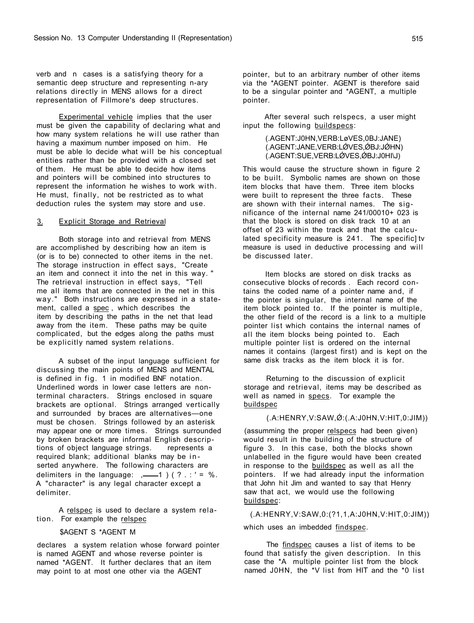verb and n cases is a satisfying theory for a semantic deep structure and representing n-ary relations directly in MENS allows for a direct representation of Fillmore's deep structures.

Experimental vehicle implies that the user must be given the capability of declaring what and how many system relations he will use rather than having a maximum number imposed on him. He must be able lo decide what will be his conceptual entities rather than be provided with a closed set of them. He must be able to decide how items and pointers will be combined into structures to represent the information he wishes to work with. He must, finally, not be restricted as to what deduction rules the system may store and use.

# 3. Explicit Storage and Retrieval

Both storage into and retrieval from MENS are accomplished by describing how an item is

A relspec is used to declare a system relation. For example the relspec

(or is to be) connected to other items in the net. The storage instruction in effect says, "Create an item and connect it into the net in this way. " The retrieval instruction in effect says, "Tell me all items that are connected in the net in this way." Both instructions are expressed in a statement, called a spec, which describes the item by describing the paths in the net that lead away from the item. These paths may be quite complicated, but the edges along the paths must be explicitly named system relations.

(.AGENT:J0HN,VERB:LøVES,0BJ:JANE) (.AGENT:JANE,VERB:LØVES,ØBJ:JØHN) (.AGENT:SUE,VERB:LØVES,ØBJ:J0HI\J)

A subset of the input language sufficient for discussing the main points of MENS and MENTAL is defined in fig. 1 in modified BNF notation. Underlined words in lower case letters are nonterminal characters. Strings enclosed in square brackets are optional. Strings arranged vertically and surrounded by braces are alternatives—one must be chosen. Strings followed by an asterisk may appear one or more times. Strings surrounded by broken brackets are informal English descriptions of object language strings. represents a required blank; additional blanks may be in serted anywhere. The following characters are delimiters in the language:  $,-$  1 ) (?.:' = %. A "character" is any legal character except a delimiter.

(assumming the proper relspecs had been given) would result in the building of the structure of figure 3. In this case, both the blocks shown unlabelled in the figure would have been created in response to the buildspec as well as all the pointers. If we had already input the information that John hit Jim and wanted to say that Henry saw that act, we would use the following buildspec:

# \$AGENT S \*AGENT M

declares a system relation whose forward pointer is named AGENT and whose reverse pointer is named \*AGENT. It further declares that an item may point to at most one other via the AGENT

pointer, but to an arbitrary number of other items via the \*AGENT pointer. AGENT is therefore said to be a singular pointer and \*AGENT, a multiple pointer.

After several such relspecs, a user might input the following buildspecs:

This would cause the structure shown in figure 2 to be built. Symbolic names are shown on those item blocks that have them. Three item blocks were built to represent the three facts. These are shown with their internal names. The significance of the internal name 241/00010+ 023 is that the block is stored on disk track 10 at an offset of 23 within the track and that the calculated specificity measure is 241. The specific] tv measure is used in deductive processing and will

be discussed later.

Item blocks are stored on disk tracks as consecutive blocks of records . Each record contains the coded name of a pointer name and, if the pointer is singular, the internal name of the item block pointed to. If the pointer is multiple, the other field of the record is a link to a multiple pointer list which contains the internal names of all the item blocks being pointed to. Each multiple pointer list is ordered on the internal names it contains (largest first) and is kept on the same disk tracks as the item block it is for.

Returning to the discussion of explicit storage and retrieval, items may be described as well as named in specs. Tor example the buildspec

# $(A:HERRY, V:SAW, Ø: (A:JOHN, V: HIT, 0:JIM))$

(.A:HENRY,V:SAW,0:(?1,1,A:J0HN,V:HIT,0:JIM))

## which uses an imbedded findspec.

The findspec causes a list of items to be found that satisfy the given description. In this case the \*A multiple pointer list from the block named J0HN, the \*V list from HIT and the \*0 list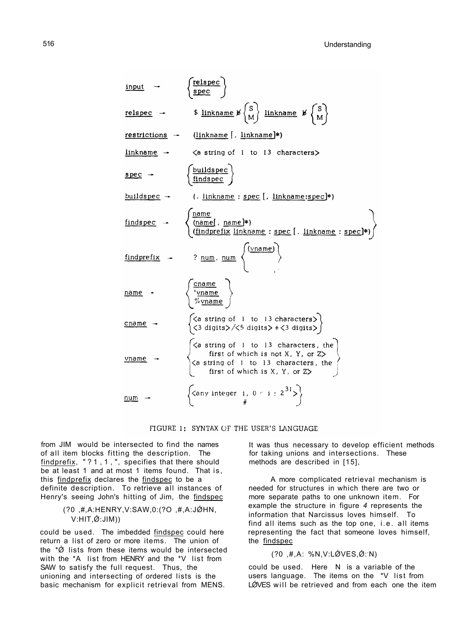from JIM would be intersected to find the names of all item blocks fitting the description. The findprefix, "?1,1,", specifies that there should be at least 1 and at most 1 items found. That is, this findprefix declares the findspec to be a definite description. To retrieve all instances of Henry's seeing John's hitting of Jim, the findspec

```
\n
$$
\begin{array}{rcl}\n\text{input} &{} & \left\{\text{else} \right\} \\
\text{relspec} &{} & \text{linkname} \not \mathcal{B} \left\{\text{S} \right\} \\
\text{restrictions} &{} & \text{linkname} \not \mathcal{B} \left\{\text{S} \right\} \\
\text{restrictions} &{} & \text{linkname} \not \mathcal{B} \left\{\text{N} \right\} \\
\text{linkname} &{} & \text{linkname} \not \mathcal{B} \left\{\text{N} \right\} \\
\text{linkname} &{} & \text{linkname} \not \mathcal{B} \left\{\text{N} \right\} \\
\text{linkname} &{} & \text{linkname} \not \mathcal{B} \left\{\text{N} \right\} \\
\text{linkname} &{} & \text{linkname} \not \mathcal{B} \left\{\text{N} \right\} \\
\text{spec} &{} & \text{linkname} \left\{\text{N} \right\} \\
\text{buildspec} &{} & \text{linkname} \not \mathcal{B} \left\{\text{N} \right\} \\
\text{buildspec} &{} & \text{linkname} \not \mathcal{B} \left\{\text{N} \right\} \\
\text{findspec} &{} & \text{linkname} \not \mathcal{B} \left\{\text{N} \right\} \\
\text{findspec} &{} & \text{linkname} \not \mathcal{B} \left\{\text{N} \right\} \\
\text{findspec} &{} & \text{linkname} \not \mathcal{B} \left\{\text{N} \right\} \\
\text{findspec} &{} & \text{linkname} \not \mathcal{B} \left\{\text{N} \right\} \\
\text{findspec} &{} & \text{rank} \not \mathcal{B} \left\{\text{N} \right\} \\
\text{findspec} &{} & \text{rank} \not \mathcal{B} \left\{\text{N} \right\} \\
\text{findspec} &{} & \text{rank} \not \mathcal{B} \left\{\text{N} \right\} \\
\text{findspec} &{} & \text{rank} \not \mathcal{B} \left\{\text{N} \right\} \\
\text{findsize} &{} & \text
$$

```



#### FIGURE 1: SYNTAX OF THE USER'S LANGUAGE

# (?0 ,#,A:HENRY,V:SAW,0:(?O ,#,A:JǾHN,  $V: HIT, \acute{\bigotimes} : JIM)$

could be used. The imbedded findspec could here return a list of zero or more items. The union of the  $*\acute{\emptyset}$  lists from these items would be intersected with the \*A list from HENRY and the \*V list from SAW to satisfy the full request. Thus, the unioning and intersecting of ordered lists is the basic mechanism for explicit retrieval from MENS.

# $( ?0 ,#, A : \%N , V : LØVES, @. N)$

could be used. Here N is a variable of the users language. The items on the \*V list from LØVES will be retrieved and from each one the item

It was thus necessary to develop efficient methods for taking unions and intersections. These methods are described in [15],

A more complicated retrieval mechanism is needed for structures in which there are two or more separate paths to one unknown item. For example the structure in figure *4* represents the information that Narcissus loves himself. To find all items such as the top one, i.e. all items representing the fact that someone loves himself, the findspec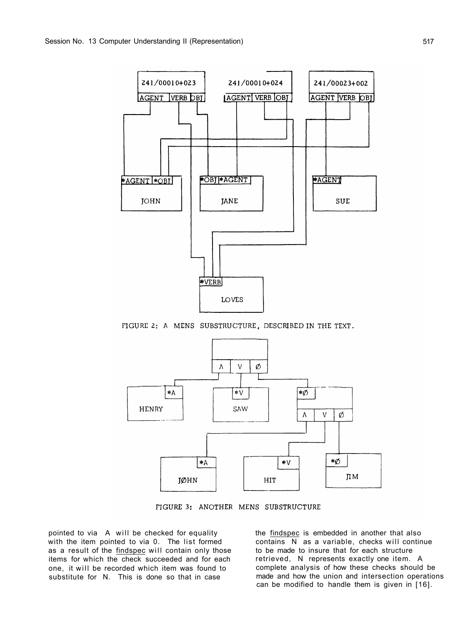



FIGURE 2: A MENS SUBSTRUCTURE, DESCRIBED IN THE TEXT.



# FIGURE 3: ANOTHER MENS SUBSTRUCTURE

pointed to via A will be checked for equality with the item pointed to via 0. The list formed as a result of the findspec will contain only those items for which the check succeeded and for each one, it will be recorded which item was found to substitute for N. This is done so that in case

the findspec is embedded in another that also contains N as a variable, checks will continue to be made to insure that for each structure retrieved, N represents exactly one item. A complete analysis of how these checks should be made and how the union and intersection operations can be modified to handle them is given in [16].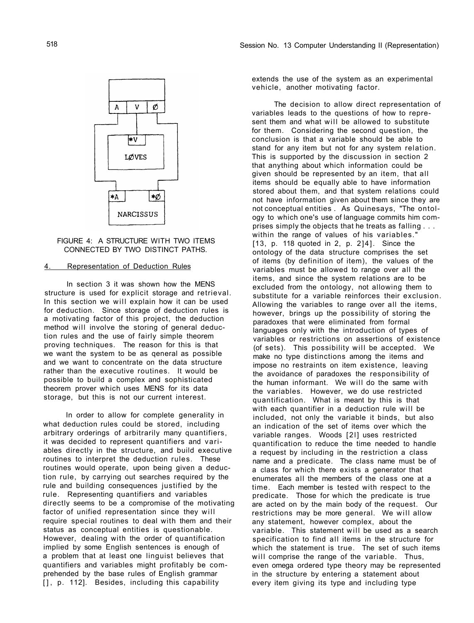FIGURE 4: A STRUCTURE WITH TWO ITEMS CONNECTED BY TWO DISTINCT PATHS.

# 4. Representation of Deduction Rules

In order to allow for complete generality in what deduction rules could be stored, including arbitrary orderings of arbitrarily many quantifiers, it was decided to represent quantifiers and variables directly in the structure, and build executive routines to interpret the deduction rules. These routines would operate, upon being given a deduction rule, by carrying out searches required by the rule and building consequences justified by the rule. Representing quantifiers and variables directly seems to be a compromise of the motivating factor of unified representation since they will require special routines to deal with them and their status as conceptual entities is questionable. However, dealing with the order of quantification implied by some English sentences is enough of a problem that at least one linguist believes that quantifiers and variables might profitably be comprehended by the base rules of English grammar [], p. 112]. Besides, including this capability

In section 3 it was shown how the MENS structure is used for explicit storage and retrieval. In this section we will explain how it can be used for deduction. Since storage of deduction rules is a motivating factor of this project, the deduction method will involve the storing of general deduction rules and the use of fairly simple theorem proving techniques. The reason for this is that we want the system to be as qeneral as possible and we want to concentrate on the data structure rather than the executive routines. It would be possible to build a complex and sophisticated theorem prover which uses MENS for its data storage, but this is not our current interest.

extends the use of the system as an experimental vehicle, another motivating factor.

The decision to allow direct representation of variables leads to the questions of how to represent them and what will be allowed to substitute for them. Considering the second question, the conclusion is that a variable should be able to stand for any item but not for any system relation. This is supported by the discussion in section 2 that anything about which information could be given should be represented by an item, that all items should be equally able to have information stored about them, and that system relations could not have information given about them since they are not conceptual entities . As Quinesays, "The ontology to which one's use of language commits him comprises simply the objects that he treats as falling . . . within the range of values of his variables." [13, p. 118 quoted in 2, p. 2]4]. Since the ontology of the data structure comprises the set of items (by definition of item), the values of the variables must be allowed to range over all the items, and since the system relations are to be excluded from the ontology, not allowing them to substitute for a variable reinforces their exclusion. Allowing the variables to range over all the items, however, brings up the possibility of storing the paradoxes that were eliminated from formal languages only with the introduction of types of variables or restrictions on assertions of existence (of sets). This possibility will be accepted. We make no type distinctions among the items and impose no restraints on item existence, leaving the avoidance of paradoxes the responsibility of the human informant. We will do the same with the variables. However, we do use restricted quantification. What is meant by this is that with each quantifier in a deduction rule will be included, not only the variable it binds, but also an indication of the set of items over which the variable ranges. Woods [2l] uses restricted quantification to reduce the time needed to handle a request by including in the restriction a class name and a predicate. The class name must be of a class for which there exists a generator that enumerates all the members of the class one at a time. Each member is tested with respect to the predicate. Those for which the predicate is true are acted on by the main body of the request. Our restrictions may be more general. We will allow any statement, however complex, about the variable. This statement will be used as a search specification to find all items in the structure for which the statement is true. The set of such items will comprise the range of the variable. Thus, even omega ordered type theory may be represented in the structure by entering a statement about every item giving its type and including type

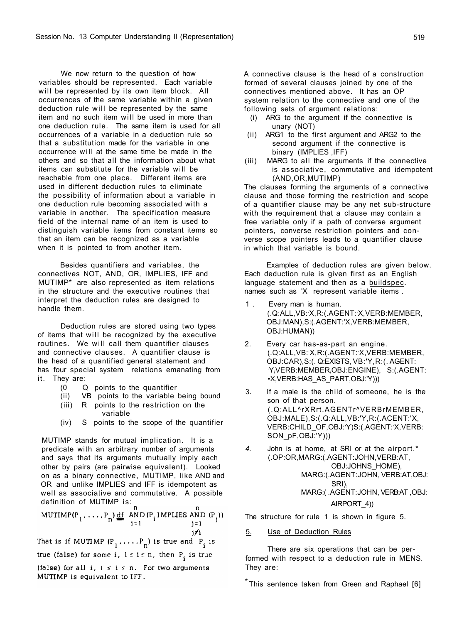We now return to the question of how variables should be represented. Each variable will be represented by its own item block. All occurrences of the same variable within a given deduction rule will be represented by the same item and no such item will be used in more than one deduction rule. The same item is used for all occurrences of a variable in a deduction rule so that a substitution made for the variable in one occurrence will at the same time be made in the others and so that all the information about what items can substitute for the variable will be reachable from one place. Different items are used in different deduction rules to eliminate the possibility of information about a variable in one deduction rule becoming associated with a variable in another. The specification measure field of the internal name of an item is used to distinguish variable items from constant items so that an item can be recognized as a variable when it is pointed to from another item.

A connective clause is the head of a construction formed of several clauses joined by one of the connectives mentioned above. It has an OP system relation to the connective and one of the following sets of argument relations:

- (i) ARG to the argument if the connective is unary (NOT)
- (ii) ARG1 to the first argument and ARG2 to the second argument if the connective is binary (IMPLIES ,IFF)
- (iii) MARG to all the arguments if the connective is associative, commutative and idempotent (AND,OR,MUTIMP)

Examples of deduction rules are given below. Each deduction rule is given first as an English language statement and then as a buildspec. names such as 'X represent variable items.

The clauses forming the arguments of a connective clause and those forming the restriction and scope of a quantifier clause may be any net sub-structure with the requirement that a clause may contain a free variable only if a path of converse argument pointers, converse restriction pointers and converse scope pointers leads to a quantifier clause in which that variable is bound.

Besides quantifiers and variables, the connectives NOT, AND, OR, IMPLIES, IFF and MUTIMP\* are also represented as item relations in the structure and the executive routines that interpret the deduction rules are designed to handle them.

Deduction rules are stored using two types of items that will be recognized by the executive routines. We will call them quantifier clauses and connective clauses. A quantifier clause is the head of a quantified general statement and has four special system relations emanating from it. They are:

- (0 Q points to the quantifier
- (ii) VB points to the variable being bound
- (iii) R points to the restriction on the variable
- (iv) S points to the scope of the quantifier

MUTIMP stands for mutual implication. It is a predicate with an arbitrary number of arguments and says that its arguments mutually imply each other by pairs (are pairwise equivalent). Looked on as a binary connective, MUTIMP, like AND and OR and unlike IMPLIES and IFF is idempotent as well as associative and commutative. A possible definition of MUTIMP is:

n.

- 1 . Every man is human. (.Q:ALL,VB:'X,R:(.AGENT:'X,VERB:MEMBER, OBJ:MAN),S:(.AGENT:'X,VERB:MEMBER, OBJ:HUMAN))
- 2. Every car has-as-part an engine. (.Q:ALL,VB:'X,R:(.AGENT:'X,VERB:MEMBER, OBJ:CAR),S:(. Q:EXISTS, VB:'Y,R:(. AGENT: ,Y/VERB:MEMBER/OBJ:ENGINE), S:(.AGENT: •X,VERB:HAS\_AS\_PART,OBJ:'Y)))
- 3. If a male is the child of someone, he is the son of that person. (.Q:ALL^rXRrt.AGENTr^VERBrMEMBER, OBJ:MALE),S:(.Q:ALL,VB:'Y,R:(.ACENT:'X, VERB:CHILD\_OF,OBJ:'Y)S:(.AGENT:'X,VERB: SON pF,OBJ:'Y)))
- *4.* John is at home, at SRI or at the airport.\* (.OP:OR,MARG:(.AGENT:JOHN,VERB:AT, OBJ:JOHNS\_HOME), MARG:(.AGENT:JOHN, VERB:AT,OBJ: SRI), MARG:( .AGENT:JOHN, VERB:AT ,OBJ: AIRPORT\_4))

MUTIMP(P<sub>1</sub>, ..., P<sub>n</sub>) <u>df</u> AND(P<sub>i</sub> IMPLIES AND(P<sub>j</sub>)) <br>i=1 <br>j=1  $j \neq i$ That is if MUTIMP  $(P_1, \ldots, P_n)$  is true and  $P_i$  is true (false) for some i,  $1 \le i \le n$ , then  $P_i$  is true (false) for all i,  $1 \leq i \leq n$ . For two arguments MUTIMP is equivalent to IFF.

The structure for rule 1 is shown in figure 5.

5. Use of Deduction Rules

There are six operations that can be performed with respect to a deduction rule in MENS. They are:

This sentence taken from Green and Raphael [6]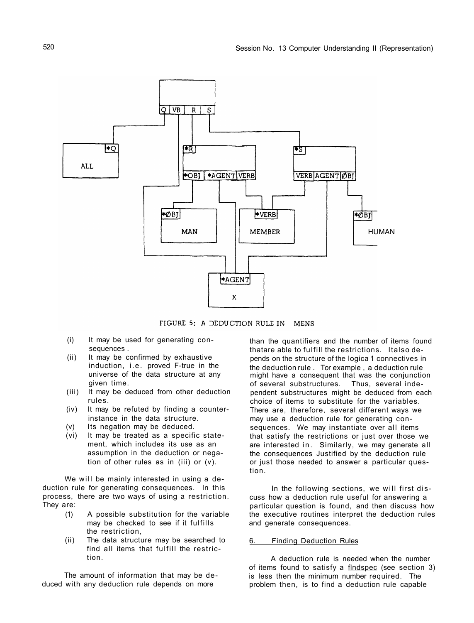520 Session No. 13 Computer Understanding II (Representation)





FIGURE 5: A DEDUCTION RULE IN **MENS** 

- (i) It may be used for generating consequences .
- (ii) It may be confirmed by exhaustive induction, i.e. proved F-true in the universe of the data structure at any given time.
- (iii) It may be deduced from other deduction rules.
- (iv) It may be refuted by finding a counterinstance in the data structure.
- (v) Its negation may be deduced.
- (vi) It may be treated as a specific statement, which includes its use as an assumption in the deduction or negation of other rules as in (iii) or (v).

We will be mainly interested in using a deduction rule for generating consequences. In this process, there are two ways of using a restriction. They are:

- (1) A possible substitution for the variable may be checked to see if it fulfills the restriction,
- (ii) The data structure may be searched to find all items that fulfill the restriction.

The amount of information that may be deduced with any deduction rule depends on more

In the following sections, we will first discuss how a deduction rule useful for answering a particular question is found, and then discuss how the executive routines interpret the deduction rules and generate consequences.

than the quantifiers and the number of items found thatare able to fulfill the restrictions. Italso depends on the structure of the logica 1 connectives in the deduction rule . Tor example , a deduction rule might have a consequent that was the conjunction of several substructures. Thus, several independent substructures might be deduced from each choice of items to substitute for the variables. There are, therefore, several different ways we may use a deduction rule for generating consequences. We may instantiate over all items that satisfy the restrictions or just over those we are interested in. Similarly, we may generate all the consequences Justified by the deduction rule or just those needed to answer a particular question.

# 6. Finding Deduction Rules

A deduction rule is needed when the number of items found to satisfy a findspec (see section 3) is less then the minimum number required. The problem then, is to find a deduction rule capable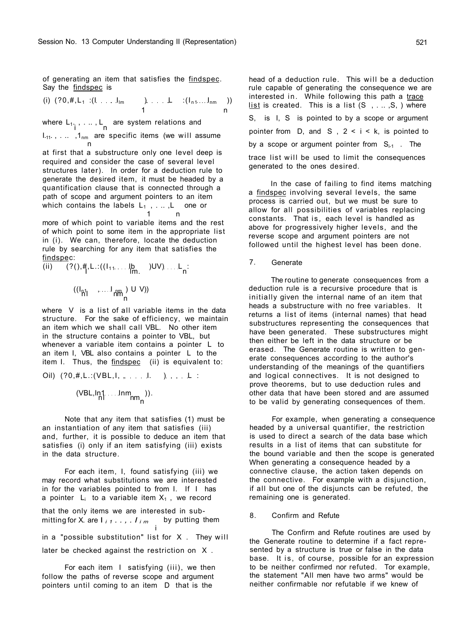of generating an item that satisfies the findspec. Say the findspec is

(i)  $(?0, #, L<sub>1</sub> : (I. ... I<sub>lm</sub> ) . . . . L : (I<sub>n1</sub> ... I<sub>nm</sub> ) )$ 1 n

where  $L_{1}$ , , ...,  $L_{2}$  are system relations and i ' ' ' ' n  $I_{.11}$ ., ...,  $1_{nm}$  are specific items (we will assume n

at first that a substructure only one level deep is required and consider the case of several level structures later). In order for a deduction rule to generate the desired item, it must be headed by a quantification clause that is connected through a path of scope and argument pointers to an item which contains the labels  $L_1$ , ..., L one or n

more of which point to variable items and the rest of which point to some item in the appropriate list in (i). We can, therefore, locate the deduction rule by searching for any item that satisfies the findspec: (ii)  $(?()$ ,  $\frac{H}{I}$ , L.: $((I_{11}$ .... $I_{nn}^{b}$  )UV).... $I_{n}$ :  $((I_{p1}, \ldots, I_{p1}), U V))$ h'l ' ' ' ' ' ' hm' n

head of a deduction rule. This will be a deduction rule capable of generating the consequence we are interested in. While following this path a trace list is created. This is a list (S, ..., S, ) where S, is I, S is pointed to by a scope or argument pointer from D, and S , 2 < i *<* k, is pointed to by a scope or argument pointer from  $S_{i-1}$ . The trace list will be used to limit the consequences generated to the ones desired.

Oil) 
$$
(?0, #, L::(VBL, I, ..., I, I, ...)
$$

$$
\frac{(\mathsf{VBL},\mathsf{In1}\dots\mathsf{Inm}_{\mathsf{nn}}))}{\mathsf{nn}_{\mathsf{n}}}).
$$

For each item, I, found satisfying (iii) we may record what substitutions we are interested in for the variables pointed to from I. If I has a pointer  $L_i$  to a variable item  $X_1$ , we record

that the only items we are interested in submitting for X. are  $\mathsf{I}_{i1}, \ldots, \mathsf{I}_{i m}$  by putting them i in a "possible substitution" list for  $X$ . They will

In the case of failing to find items matching a findspec involving several levels, the same process is carried out, but we must be sure to allow for all possibilities of variables replacing constants. That is, each level is handled as above for progressively higher levels, and the reverse scope and argument pointers are not followed until the highest level has been done.

where V is a list of all variable items in the data structure. For the sake of efficiency, we maintain an item which we shall call VBL. No other item in the structure contains a pointer to VBL, but whenever a variable item contains a pointer L to an item I, VBL also contains a pointer L to the item I. Thus, the findspec (ii) is equivalent to:

### 7. Generate

The routine to generate consequences from a deduction rule is a recursive procedure that is initially given the internal name of an item that heads a substructure with no free variables. It returns a list of items (internal names) that head substructures representing the consequences that have been generated. These substructures might then either be left in the data structure or be erased. The Generate routine is written to generate consequences according to the author's understanding of the meanings of the quantifiers and logical connectives. It is not designed to prove theorems, but to use deduction rules and other data that have been stored and are assumed to be valid by generating consequences of them.

Note that any item that satisfies (1) must be an instantiation of any item that satisfies (iii) and, further, it is possible to deduce an item that satisfies (i) only if an item satisfying (iii) exists in the data structure.

later be checked against the restriction on X .

For each item I satisfying (iii), we then follow the paths of reverse scope and argument pointers until coming to an item D that is the

For example, when generating a consequence headed by a universal quantifier, the restriction is used to direct a search of the data base which results in a list of items that can substitute for the bound variable and then the scope is generated When generating a consequence headed by a connective clause, the action taken depends on the connective. For example with a disjunction, if all but one of the disjuncts can be refuted, the remaining one is generated.

8. Confirm and Refute

The Confirm and Refute routines are used by the Generate routine to determine if a fact represented by a structure is true or false in the data base. It is, of course, possible for an expression to be neither confirmed nor refuted. Tor example, the statement "All men have two arms" would be neither confirmable nor refutable if we knew of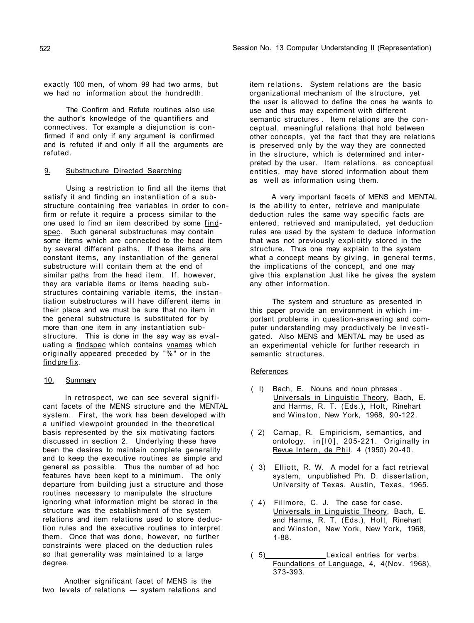exactly 100 men, of whom 99 had two arms, but we had no information about the hundredth.

Using a restriction to find all the items that satisfy it and finding an instantiation of a substructure containing free variables in order to confirm or refute it require a process similar to the one used to find an item described by some findspec. Such general substructures may contain some items which are connected to the head item by several different paths. If these items are constant items, any instantiation of the general substructure will contain them at the end of similar paths from the head item. If, however, they are variable items or items heading substructures containing variable items, the instantiation substructures will have different items in their place and we must be sure that no item in the general substructure is substituted for by more than one item in any instantiation substructure. This is done in the say way as evaluating a findspec which contains vnames which originally appeared preceded by "%" or in the find pre fix.

The Confirm and Refute routines also use the author's knowledge of the quantifiers and connectives. Tor example a disjunction is confirmed if and only if any argument is confirmed and is refuted if and only if all the arguments are refuted.

## 9. Substructure Directed Searching

## 10. Summary

In retrospect, we can see several significant facets of the MENS structure and the MENTAL system. First, the work has been developed with a unified viewpoint grounded in the theoretical basis represented by the six motivating factors discussed in section 2. Underlying these have been the desires to maintain complete generality and to keep the executive routines as simple and general as possible. Thus the number of ad hoc features have been kept to a minimum. The only departure from building just a structure and those routines necessary to manipulate the structure ignoring what information might be stored in the structure was the establishment of the system relations and item relations used to store deduction rules and the executive routines to interpret them. Once that was done, however, no further constraints were placed on the deduction rules so that generality was maintained to a large degree.

Another significant facet of MENS is the two levels of relations — system relations and Session No. 13 Computer Understanding II (Representation)

item relations. System relations are the basic organizational mechanism of the structure, yet the user is allowed to define the ones he wants to use and thus may experiment with different semantic structures . Item relations are the conceptual, meaningful relations that hold between other concepts, yet the fact that they are relations is preserved only by the way they are connected in the structure, which is determined and interpreted by the user. Item relations, as conceptual entities, may have stored information about them as well as information using them.

A very important facets of MENS and MENTAL is the ability to enter, retrieve and manipulate deduction rules the same way specific facts are entered, retrieved and manipulated, yet deduction rules are used by the system to deduce information that was not previously explicitly stored in the structure. Thus one may explain to the system what a concept means by giving, in general terms, the implications of the concept, and one may give this explanation Just like he gives the system any other information.

The system and structure as presented in this paper provide an environment in which important problems in question-answering and computer understanding may productively be investigated. Also MENS and MENTAL may be used as an experimental vehicle for further research in semantic structures.

## **References**

- ( I) Bach, E. Nouns and noun phrases . Universals in Linguistic Theory, Bach, E. and Harms, R. T. (Eds.), Holt, Rinehart and Winston, New York, 1968, 90-122.
- ( 2) Carnap, R. Empiricism, semantics, and ontology. in [10], 205-221. Originally in Revue Intern, de Phil. 4 (1950) 20-40.
- ( 3) Elliott, R. W. A model for a fact retrieval system, unpublished Ph. D. dissertation, University of Texas, Austin, Texas, 1965.
- ( 4) Fillmore, C. J. The case for case.

Universals in Linguistic Theory, Bach, E. and Harms, R. T. (Eds.), Holt, Rinehart and Winston, New York, New York, 1968, 1-88.

( 5) Lexical entries for verbs. Foundations of Language, 4, 4(Nov. 1968), 373-393.